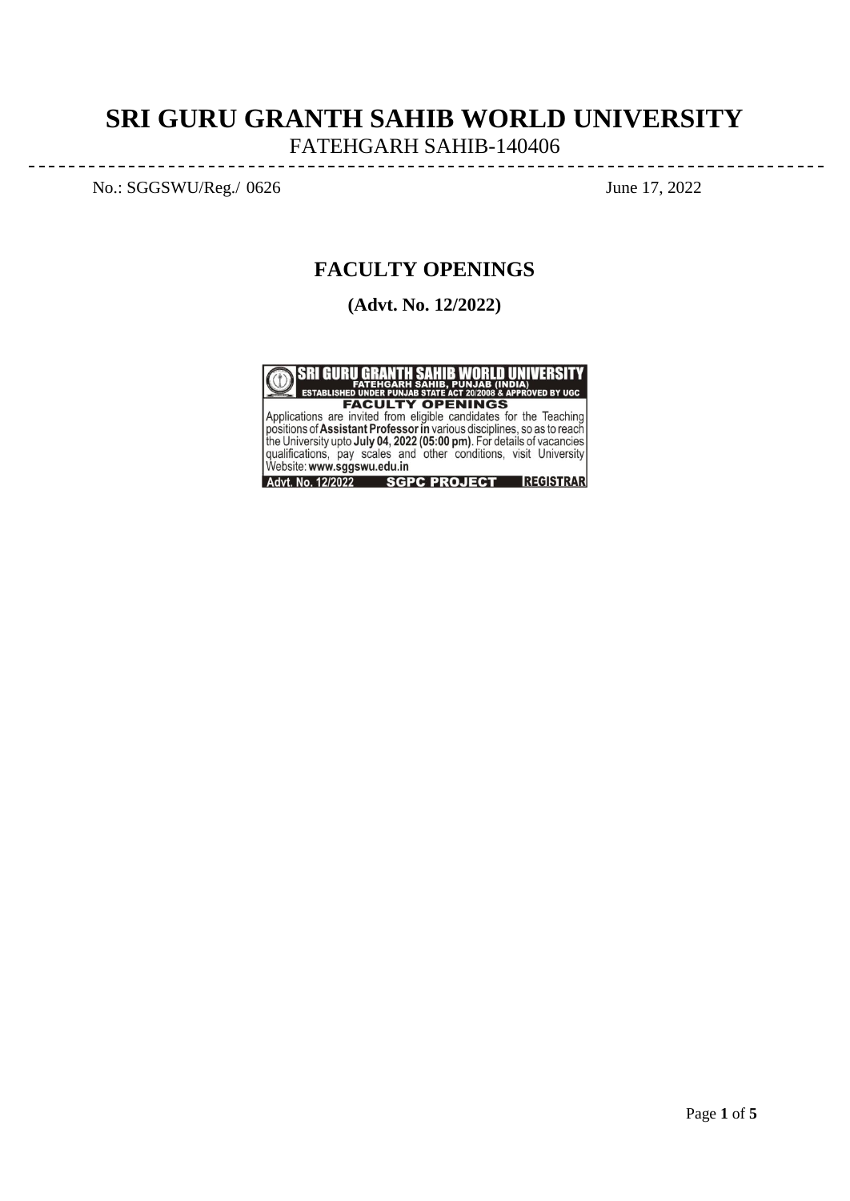# **SRI GURU GRANTH SAHIB WORLD UNIVERSITY**

FATEHGARH SAHIB-140406

----------------------

No.: SGGSWU/Reg./ 0626 June 17, 2022

 $- - - - - - - - -$ 

---------

<u>\_\_\_\_\_\_\_\_\_\_\_\_\_\_\_\_\_\_\_\_\_</u>

# **FACULTY OPENINGS**

**(Advt. No. 12/2022)**



**EXCULTY OPENINGS**<br>Applications are invited from eligible candidates for the Teaching<br>positions of Assistant Professor in various disciplines, so as to reach<br>the University upto July 04, 2022 (05:00 pm). For details of vac Advt. No. 12/2022 SGPC PROJECT REGISTRAR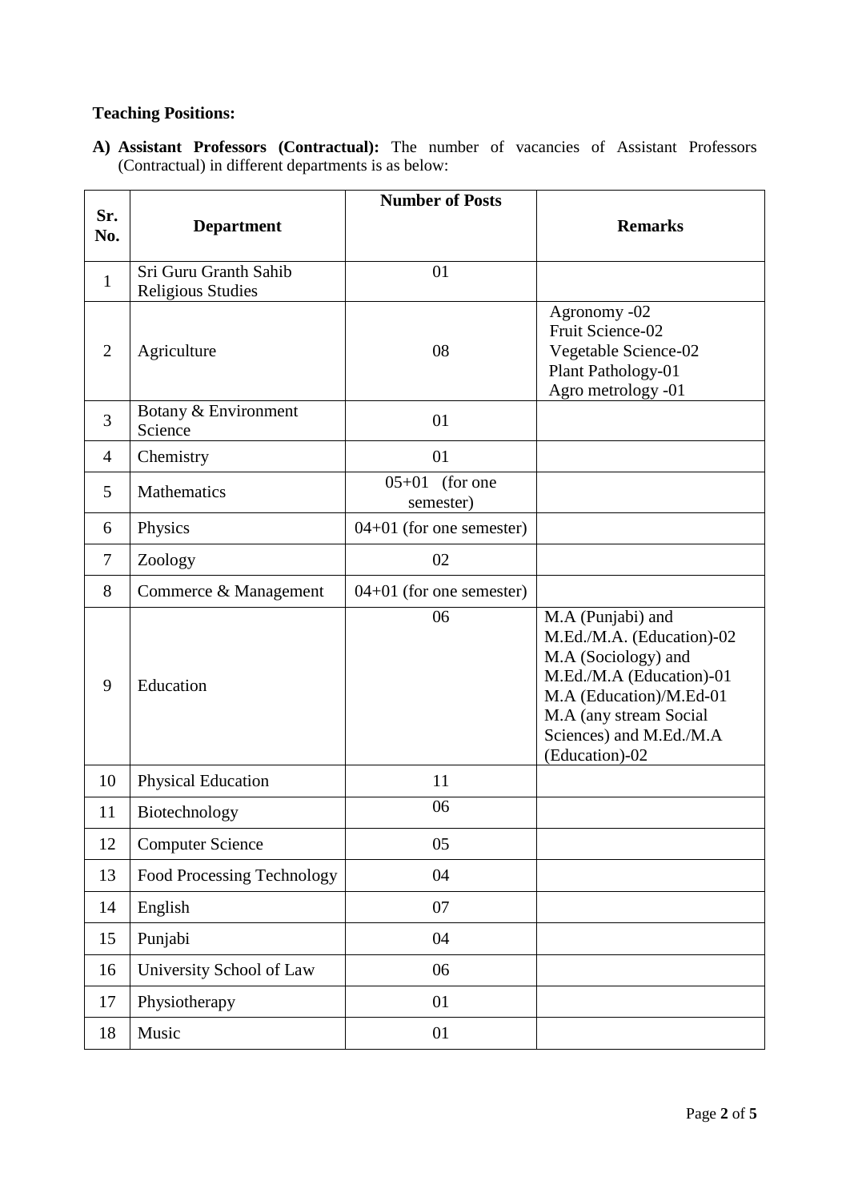## **Teaching Positions:**

**A) Assistant Professors (Contractual):** The number of vacancies of Assistant Professors (Contractual) in different departments is as below:

|                |                                                   | <b>Number of Posts</b>             |                                                                                                                                                                                                     |
|----------------|---------------------------------------------------|------------------------------------|-----------------------------------------------------------------------------------------------------------------------------------------------------------------------------------------------------|
| Sr.<br>No.     | <b>Department</b>                                 |                                    | <b>Remarks</b>                                                                                                                                                                                      |
| $\mathbf{1}$   | Sri Guru Granth Sahib<br><b>Religious Studies</b> | 01                                 |                                                                                                                                                                                                     |
| $\overline{2}$ | Agriculture                                       | 08                                 | Agronomy -02<br>Fruit Science-02<br>Vegetable Science-02<br>Plant Pathology-01<br>Agro metrology -01                                                                                                |
| 3              | Botany & Environment<br>Science                   | 01                                 |                                                                                                                                                                                                     |
| $\overline{4}$ | Chemistry                                         | 01                                 |                                                                                                                                                                                                     |
| 5              | Mathematics                                       | $05 + 01$<br>(for one<br>semester) |                                                                                                                                                                                                     |
| 6              | Physics                                           | $04+01$ (for one semester)         |                                                                                                                                                                                                     |
| $\tau$         | Zoology                                           | 02                                 |                                                                                                                                                                                                     |
| 8              | Commerce & Management                             | $04+01$ (for one semester)         |                                                                                                                                                                                                     |
| 9              | Education                                         | 06                                 | M.A (Punjabi) and<br>M.Ed./M.A. (Education)-02<br>M.A (Sociology) and<br>M.Ed./M.A (Education)-01<br>M.A (Education)/M.Ed-01<br>M.A (any stream Social<br>Sciences) and M.Ed./M.A<br>(Education)-02 |
| 10             | <b>Physical Education</b>                         | 11                                 |                                                                                                                                                                                                     |
| 11             | Biotechnology                                     | 06                                 |                                                                                                                                                                                                     |
| 12             | <b>Computer Science</b>                           | 05                                 |                                                                                                                                                                                                     |
| 13             | Food Processing Technology                        | 04                                 |                                                                                                                                                                                                     |
| 14             | English                                           | 07                                 |                                                                                                                                                                                                     |
| 15             | Punjabi                                           | 04                                 |                                                                                                                                                                                                     |
| 16             | University School of Law                          | 06                                 |                                                                                                                                                                                                     |
| 17             | Physiotherapy                                     | 01                                 |                                                                                                                                                                                                     |
| 18             | Music                                             | 01                                 |                                                                                                                                                                                                     |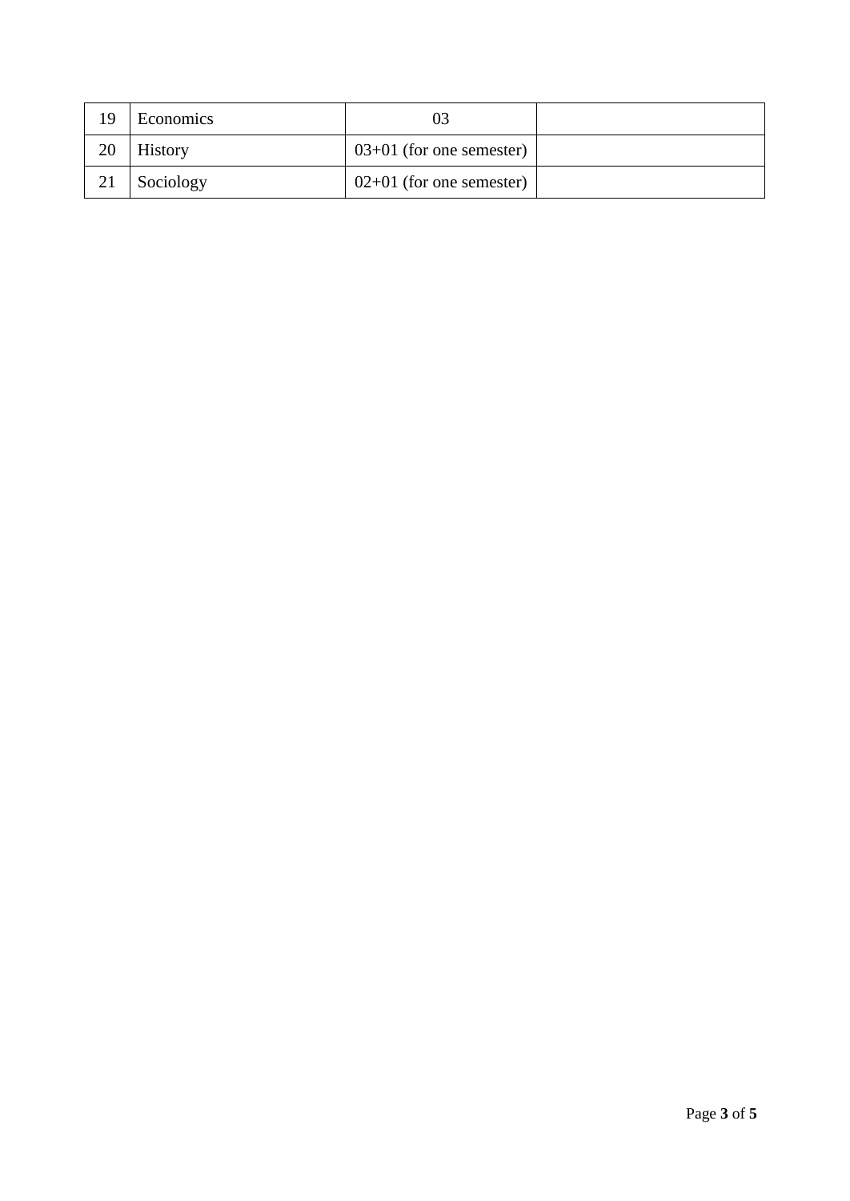| 19 | Economics      |                            |  |
|----|----------------|----------------------------|--|
| 20 | <b>History</b> | $03+01$ (for one semester) |  |
|    | Sociology      | $02+01$ (for one semester) |  |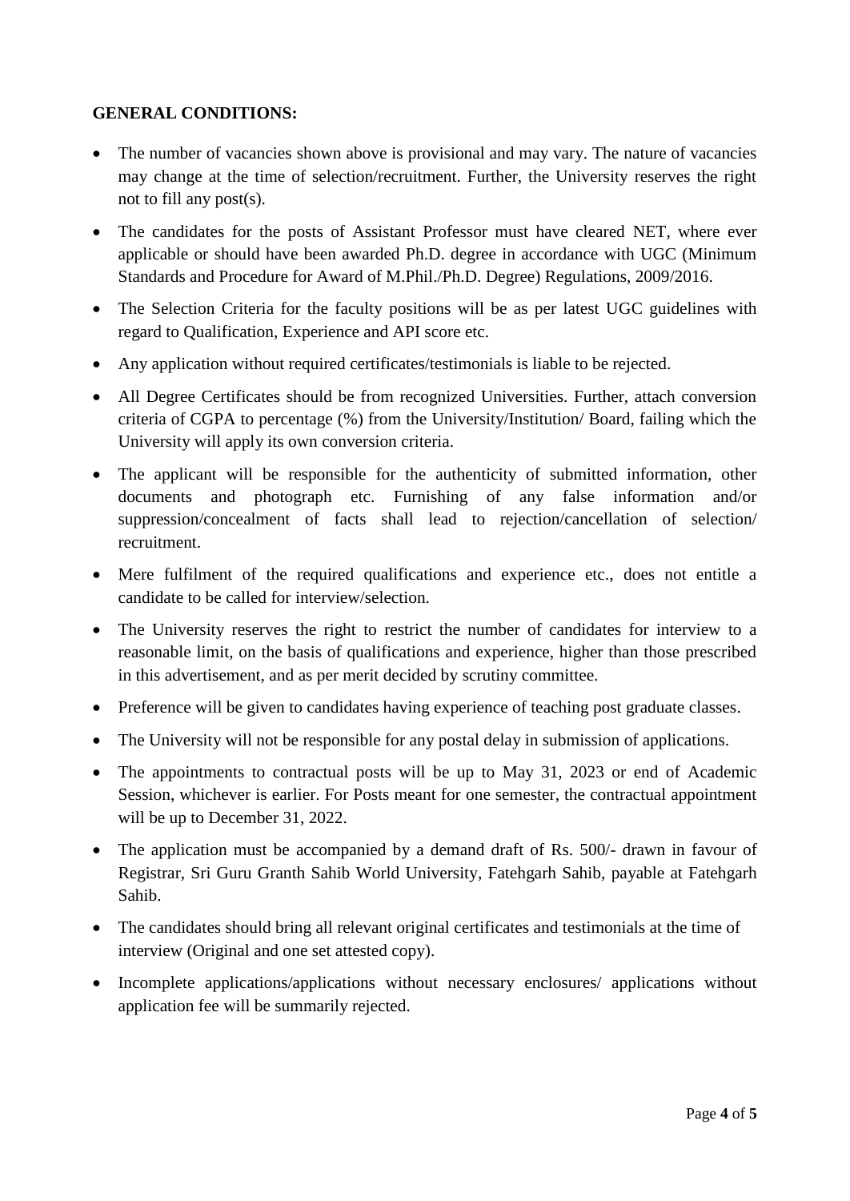### **GENERAL CONDITIONS:**

- The number of vacancies shown above is provisional and may vary. The nature of vacancies may change at the time of selection/recruitment. Further, the University reserves the right not to fill any post(s).
- The candidates for the posts of Assistant Professor must have cleared NET, where ever applicable or should have been awarded Ph.D. degree in accordance with UGC (Minimum Standards and Procedure for Award of M.Phil./Ph.D. Degree) Regulations, 2009/2016.
- The Selection Criteria for the faculty positions will be as per latest UGC guidelines with regard to Qualification, Experience and API score etc.
- Any application without required certificates/testimonials is liable to be rejected.
- All Degree Certificates should be from recognized Universities. Further, attach conversion criteria of CGPA to percentage (%) from the University/Institution/ Board, failing which the University will apply its own conversion criteria.
- The applicant will be responsible for the authenticity of submitted information, other documents and photograph etc. Furnishing of any false information and/or suppression/concealment of facts shall lead to rejection/cancellation of selection/ recruitment.
- Mere fulfilment of the required qualifications and experience etc., does not entitle a candidate to be called for interview/selection.
- The University reserves the right to restrict the number of candidates for interview to a reasonable limit, on the basis of qualifications and experience, higher than those prescribed in this advertisement, and as per merit decided by scrutiny committee.
- Preference will be given to candidates having experience of teaching post graduate classes.
- The University will not be responsible for any postal delay in submission of applications.
- The appointments to contractual posts will be up to May 31, 2023 or end of Academic Session, whichever is earlier. For Posts meant for one semester, the contractual appointment will be up to December 31, 2022.
- The application must be accompanied by a demand draft of Rs. 500/- drawn in favour of Registrar, Sri Guru Granth Sahib World University, Fatehgarh Sahib, payable at Fatehgarh Sahib.
- The candidates should bring all relevant original certificates and testimonials at the time of interview (Original and one set attested copy).
- Incomplete applications/applications without necessary enclosures/ applications without application fee will be summarily rejected.